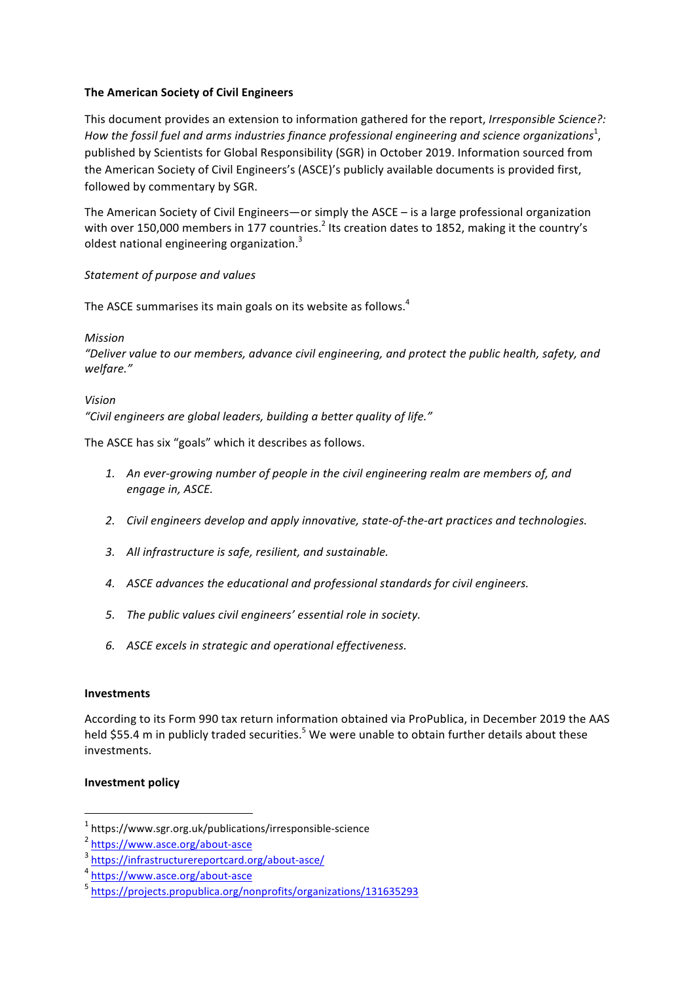## **The American Society of Civil Engineers**

This document provides an extension to information gathered for the report, *Irresponsible Science?*: How the fossil fuel and arms industries finance professional engineering and science organizations $^{\rm 1}$ , published by Scientists for Global Responsibility (SGR) in October 2019. Information sourced from the American Society of Civil Engineers's (ASCE)'s publicly available documents is provided first, followed by commentary by SGR.

The American Society of Civil Engineers—or simply the  $\text{ASCE}$  – is a large professional organization with over 150,000 members in 177 countries.<sup>2</sup> Its creation dates to 1852, making it the country's oldest national engineering organization.<sup>3</sup>

## *Statement of purpose and values*

The ASCE summarises its main goals on its website as follows.<sup>4</sup>

*Mission*

"Deliver value to our members, advance civil engineering, and protect the public health, safety, and *welfare."*

*Vision* "Civil engineers are global leaders, building a better quality of life."

The ASCE has six "goals" which it describes as follows.

- 1. An ever-growing number of people in the civil engineering realm are members of, and engage in, ASCE.
- 2. Civil engineers develop and apply innovative, state-of-the-art practices and technologies.
- 3. All infrastructure is safe, resilient, and sustainable.
- 4. ASCE advances the educational and professional standards for civil engineers.
- 5. The public values civil engineers' essential role in society.
- *6. ASCE excels in strategic and operational effectiveness.*

## **Investments**

According to its Form 990 tax return information obtained via ProPublica, in December 2019 the AAS held \$55.4 m in publicly traded securities.<sup>5</sup> We were unable to obtain further details about these investments. 

## **Investment policy**

 $1$  https://www.sgr.org.uk/publications/irresponsible-science

<sup>2</sup> https://www.asce.org/about-asce

<sup>3</sup> https://infrastructurereportcard.org/about-asce/

<sup>4</sup> https://www.asce.org/about-asce

<sup>5</sup> https://projects.propublica.org/nonprofits/organizations/131635293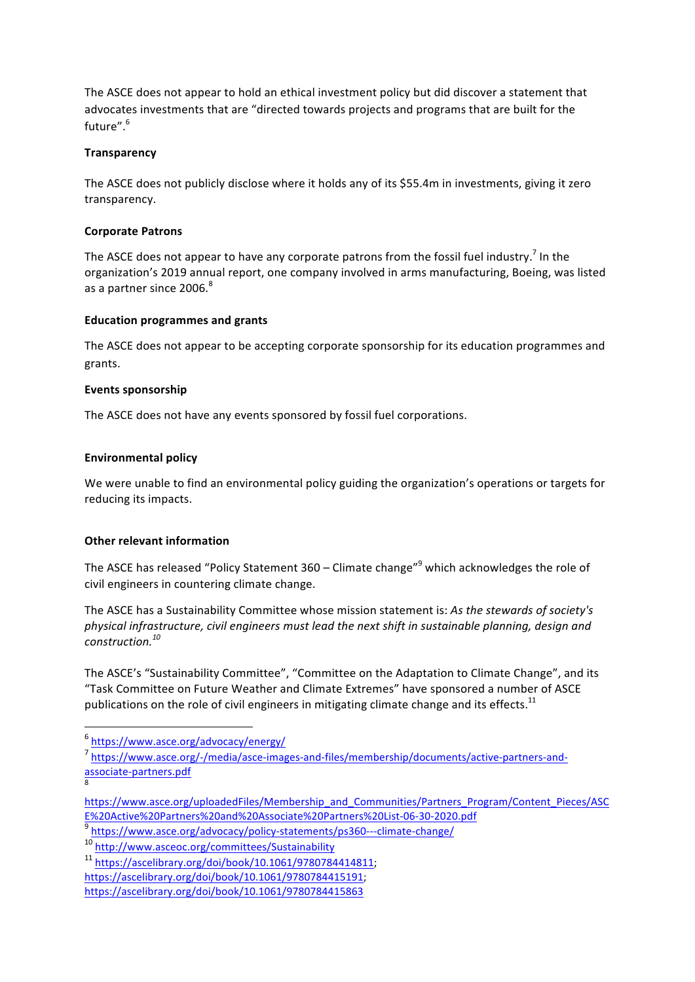The ASCE does not appear to hold an ethical investment policy but did discover a statement that advocates investments that are "directed towards projects and programs that are built for the future".<sup>6</sup>

## **Transparency**

The ASCE does not publicly disclose where it holds any of its \$55.4m in investments, giving it zero transparency.

## **Corporate Patrons**

The ASCE does not appear to have any corporate patrons from the fossil fuel industry.<sup>7</sup> In the organization's 2019 annual report, one company involved in arms manufacturing, Boeing, was listed as a partner since 2006.<sup>8</sup>

## **Education programmes and grants**

The ASCE does not appear to be accepting corporate sponsorship for its education programmes and grants. 

#### **Events sponsorship**

The ASCE does not have any events sponsored by fossil fuel corporations.

## **Environmental policy**

We were unable to find an environmental policy guiding the organization's operations or targets for reducing its impacts.

## **Other relevant information**

The ASCE has released "Policy Statement  $360 -$  Climate change"<sup>9</sup> which acknowledges the role of civil engineers in countering climate change.

The ASCE has a Sustainability Committee whose mission statement is: As the stewards of society's physical infrastructure, civil engineers must lead the next shift in sustainable planning, design and *construction.<sup>10</sup>*

The ASCE's "Sustainability Committee", "Committee on the Adaptation to Climate Change", and its "Task Committee on Future Weather and Climate Extremes" have sponsored a number of ASCE publications on the role of civil engineers in mitigating climate change and its effects.<sup>11</sup>

<sup>6</sup> https://www.asce.org/advocacy/energy/

<sup>7</sup> https://www.asce.org/-/media/asce-images-and-files/membership/documents/active-partners-andassociate-partners.pdf 8

https://www.asce.org/uploadedFiles/Membership\_and\_Communities/Partners\_Program/Content\_Pieces/ASC E%20Active%20Partners%20and%20Associate%20Partners%20List-06-30-2020.pdf

<sup>9</sup> https://www.asce.org/advocacy/policy-statements/ps360---climate-change/

<sup>10</sup> http://www.asceoc.org/committees/Sustainability

<sup>11</sup> https://ascelibrary.org/doi/book/10.1061/9780784414811; 

https://ascelibrary.org/doi/book/10.1061/9780784415191; 

https://ascelibrary.org/doi/book/10.1061/9780784415863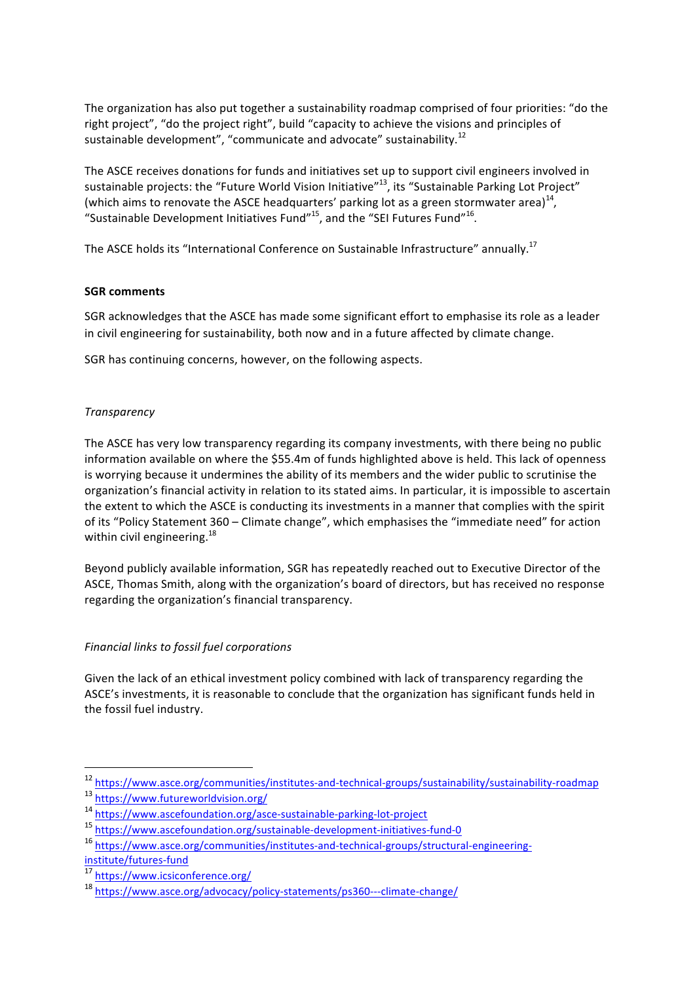The organization has also put together a sustainability roadmap comprised of four priorities: "do the right project", "do the project right", build "capacity to achieve the visions and principles of sustainable development", "communicate and advocate" sustainability.<sup>12</sup>

The ASCE receives donations for funds and initiatives set up to support civil engineers involved in sustainable projects: the "Future World Vision Initiative"<sup>13</sup>, its "Sustainable Parking Lot Project" (which aims to renovate the ASCE headquarters' parking lot as a green stormwater area)<sup>14</sup>, "Sustainable Development Initiatives Fund"<sup>15</sup>, and the "SEI Futures Fund"<sup>16</sup>.

The ASCE holds its "International Conference on Sustainable Infrastructure" annually.<sup>17</sup>

## **SGR** comments

SGR acknowledges that the ASCE has made some significant effort to emphasise its role as a leader in civil engineering for sustainability, both now and in a future affected by climate change.

SGR has continuing concerns, however, on the following aspects.

## *Transparency*

The ASCE has very low transparency regarding its company investments, with there being no public information available on where the \$55.4m of funds highlighted above is held. This lack of openness is worrying because it undermines the ability of its members and the wider public to scrutinise the organization's financial activity in relation to its stated aims. In particular, it is impossible to ascertain the extent to which the ASCE is conducting its investments in a manner that complies with the spirit of its "Policy Statement 360 – Climate change", which emphasises the "immediate need" for action within civil engineering. $^{18}$ 

Beyond publicly available information, SGR has repeatedly reached out to Executive Director of the ASCE, Thomas Smith, along with the organization's board of directors, but has received no response regarding the organization's financial transparency.

# *Financial links to fossil fuel corporations*

Given the lack of an ethical investment policy combined with lack of transparency regarding the ASCE's investments, it is reasonable to conclude that the organization has significant funds held in the fossil fuel industry.

<sup>12</sup> https://www.asce.org/communities/institutes-and-technical-groups/sustainability/sustainability-roadmap

<sup>13</sup> https://www.futureworldvision.org/

<sup>14</sup> https://www.ascefoundation.org/asce-sustainable-parking-lot-project

<sup>15</sup> https://www.ascefoundation.org/sustainable-development-initiatives-fund-0

<sup>16</sup> https://www.asce.org/communities/institutes-and-technical-groups/structural-engineeringinstitute/futures-fund

<sup>17</sup> https://www.icsiconference.org/

<sup>18</sup> https://www.asce.org/advocacy/policy-statements/ps360---climate-change/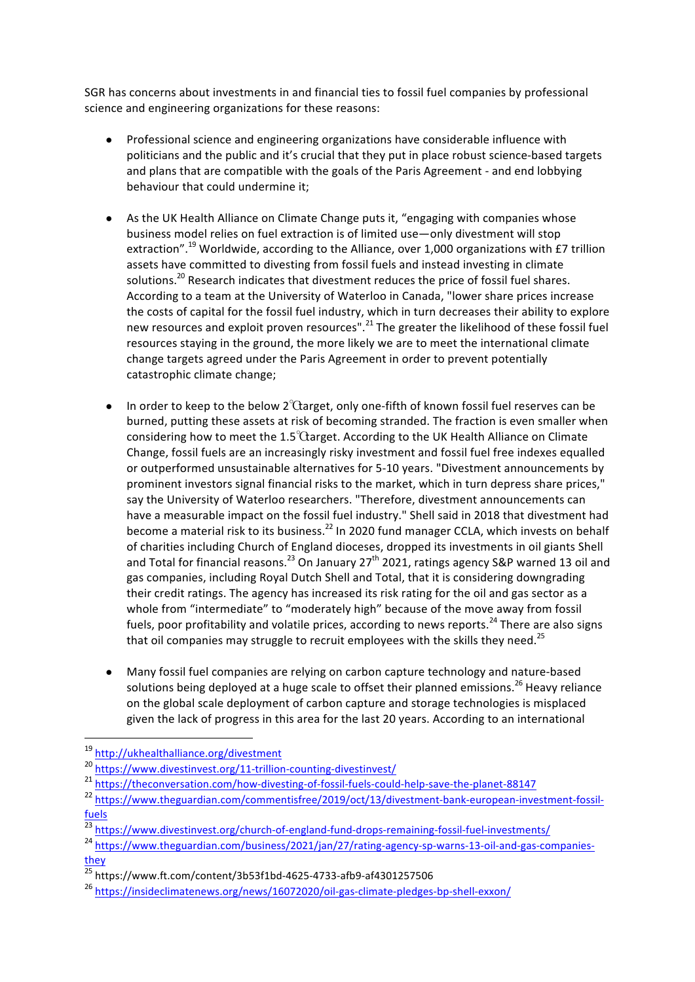SGR has concerns about investments in and financial ties to fossil fuel companies by professional science and engineering organizations for these reasons:

- Professional science and engineering organizations have considerable influence with politicians and the public and it's crucial that they put in place robust science-based targets and plans that are compatible with the goals of the Paris Agreement - and end lobbying behaviour that could undermine it:
- As the UK Health Alliance on Climate Change puts it, "engaging with companies whose business model relies on fuel extraction is of limited use—only divestment will stop extraction".<sup>19</sup> Worldwide, according to the Alliance, over 1,000 organizations with £7 trillion assets have committed to divesting from fossil fuels and instead investing in climate solutions.<sup>20</sup> Research indicates that divestment reduces the price of fossil fuel shares. According to a team at the University of Waterloo in Canada, "lower share prices increase the costs of capital for the fossil fuel industry, which in turn decreases their ability to explore new resources and exploit proven resources".<sup>21</sup> The greater the likelihood of these fossil fuel resources staying in the ground, the more likely we are to meet the international climate change targets agreed under the Paris Agreement in order to prevent potentially catastrophic climate change;
- In order to keep to the below  $2^{\circ}$ Carget, only one-fifth of known fossil fuel reserves can be burned, putting these assets at risk of becoming stranded. The fraction is even smaller when considering how to meet the  $1.5^{\circ}$ Carget. According to the UK Health Alliance on Climate Change, fossil fuels are an increasingly risky investment and fossil fuel free indexes equalled or outperformed unsustainable alternatives for 5-10 years. "Divestment announcements by prominent investors signal financial risks to the market, which in turn depress share prices." say the University of Waterloo researchers. "Therefore, divestment announcements can have a measurable impact on the fossil fuel industry." Shell said in 2018 that divestment had become a material risk to its business.<sup>22</sup> In 2020 fund manager CCLA, which invests on behalf of charities including Church of England dioceses, dropped its investments in oil giants Shell and Total for financial reasons.<sup>23</sup> On January 27<sup>th</sup> 2021, ratings agency S&P warned 13 oil and gas companies, including Royal Dutch Shell and Total, that it is considering downgrading their credit ratings. The agency has increased its risk rating for the oil and gas sector as a whole from "intermediate" to "moderately high" because of the move away from fossil fuels, poor profitability and volatile prices, according to news reports.<sup>24</sup> There are also signs that oil companies may struggle to recruit employees with the skills they need.<sup>25</sup>
- Many fossil fuel companies are relying on carbon capture technology and nature-based solutions being deployed at a huge scale to offset their planned emissions.<sup>26</sup> Heavy reliance on the global scale deployment of carbon capture and storage technologies is misplaced given the lack of progress in this area for the last 20 years. According to an international

<sup>19</sup> http://ukhealthalliance.org/divestment

<sup>20</sup> https://www.divestinvest.org/11-trillion-counting-divestinvest/

<sup>21</sup> https://theconversation.com/how-divesting-of-fossil-fuels-could-help-save-the-planet-88147

<sup>22</sup> https://www.theguardian.com/commentisfree/2019/oct/13/divestment-bank-european-investment-fossilfuels

<sup>23</sup> https://www.divestinvest.org/church-of-england-fund-drops-remaining-fossil-fuel-investments/

<sup>24</sup> https://www.theguardian.com/business/2021/jan/27/rating-agency-sp-warns-13-oil-and-gas-companiesthey

 $25$  https://www.ft.com/content/3b53f1bd-4625-4733-afb9-af4301257506

<sup>26</sup> https://insideclimatenews.org/news/16072020/oil-gas-climate-pledges-bp-shell-exxon/